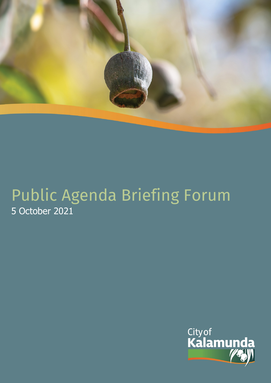

# Public Agenda Briefing Forum 5 October 2021

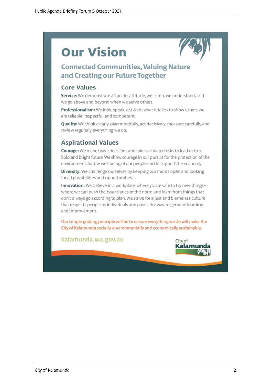# **Our Vision**



## **Connected Communities, Valuing Nature** and Creating our Future Together

#### **Core Values**

Service: We demonstrate a 'can do' attitude, we listen, we understand, and we go above and beyond when we serve others.

Professionalism: We look, speak, act & do what it takes to show others we are reliable, respectful and competent.

Quality: We think clearly, plan mindfully, act decisively, measure carefully and review regularly everything we do.

#### **Aspirational Values**

Courage: We make brave decisions and take calculated risks to lead us to a bold and bright future. We show courage in our pursuit for the protection of the environment, for the well being of our people and to support the economy.

Diversity: We challenge ourselves by keeping our minds open and looking for all possibilities and opportunities.

Innovation: We believe in a workplace where you're safe to try new thingswhere we can push the boundaries of the norm and learn from things that don't always go according to plan. We strive for a just and blameless culture that respects people as individuals and paves the way to genuine learning and improvement.

Our simple guiding principle will be to ensure everything we do will make the City of Kalamunda socially, environmentally and economically sustainable.

kalamunda.wa.gov.au

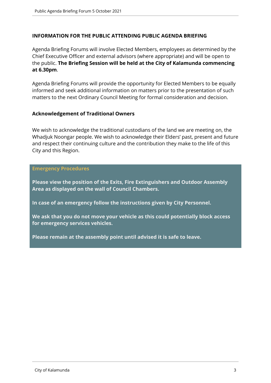#### **INFORMATION FOR THE PUBLIC ATTENDING PUBLIC AGENDA BRIEFING**

Agenda Briefing Forums will involve Elected Members, employees as determined by the Chief Executive Officer and external advisors (where appropriate) and will be open to the public. **The Briefing Session will be held at the City of Kalamunda commencing at 6.30pm**.

Agenda Briefing Forums will provide the opportunity for Elected Members to be equally informed and seek additional information on matters prior to the presentation of such matters to the next Ordinary Council Meeting for formal consideration and decision.

#### **Acknowledgement of Traditional Owners**

We wish to acknowledge the traditional custodians of the land we are meeting on, the Whadjuk Noongar people. We wish to acknowledge their Elders' past, present and future and respect their continuing culture and the contribution they make to the life of this City and this Region.

#### **Emergency Procedures**

**Please view the position of the Exits, Fire Extinguishers and Outdoor Assembly Area as displayed on the wall of Council Chambers.**

**In case of an emergency follow the instructions given by City Personnel.** 

**We ask that you do not move your vehicle as this could potentially block access for emergency services vehicles.** 

**Please remain at the assembly point until advised it is safe to leave.**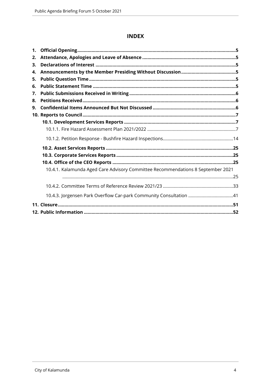#### **INDEX**

| 1. |                                                                                 |  |
|----|---------------------------------------------------------------------------------|--|
| 2. |                                                                                 |  |
| 3. |                                                                                 |  |
| 4. |                                                                                 |  |
| 5. |                                                                                 |  |
| 6. |                                                                                 |  |
| 7. |                                                                                 |  |
| 8. |                                                                                 |  |
| 9. |                                                                                 |  |
|    |                                                                                 |  |
|    |                                                                                 |  |
|    |                                                                                 |  |
|    |                                                                                 |  |
|    |                                                                                 |  |
|    |                                                                                 |  |
|    |                                                                                 |  |
|    | 10.4.1. Kalamunda Aged Care Advisory Committee Recommendations 8 September 2021 |  |
|    |                                                                                 |  |
|    |                                                                                 |  |
|    | 10.4.3. Jorgensen Park Overflow Car-park Community Consultation 41              |  |
|    |                                                                                 |  |
|    |                                                                                 |  |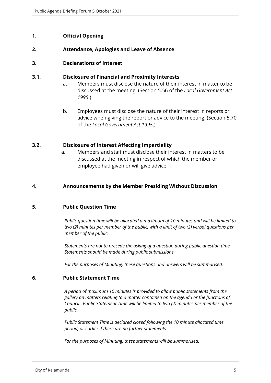#### <span id="page-4-0"></span>**1. Official Opening**

#### <span id="page-4-1"></span>**2. Attendance, Apologies and Leave of Absence**

#### <span id="page-4-2"></span>**3. Declarations of Interest**

#### **3.1. Disclosure of Financial and Proximity Interests**

- a. Members must disclose the nature of their interest in matter to be discussed at the meeting. (Section 5.56 of the *Local Government Act 1995*.)
- b. Employees must disclose the nature of their interest in reports or advice when giving the report or advice to the meeting. (Section 5.70 of the *Local Government Act 1995*.)

#### **3.2. Disclosure of Interest Affecting Impartiality**

a. Members and staff must disclose their interest in matters to be discussed at the meeting in respect of which the member or employee had given or will give advice.

#### <span id="page-4-3"></span>**4. Announcements by the Member Presiding Without Discussion**

#### <span id="page-4-4"></span>**5. Public Question Time**

*Public question time will be allocated a maximum of 10 minutes and will be limited to two (2) minutes per member of the public, with a limit of two (2) verbal questions per member of the public.*

*Statements are not to precede the asking of a question during public question time. Statements should be made during public submissions.*

*For the purposes of Minuting, these questions and answers will be summarised.*

#### <span id="page-4-5"></span>**6. Public Statement Time**

*A period of maximum 10 minutes is provided to allow public statements from the gallery on matters relating to a matter contained on the agenda or the functions of Council. Public Statement Time will be limited to two (2) minutes per member of the public.*

*Public Statement Time is declared closed following the 10 minute allocated time period, or earlier if there are no further statements.* 

*For the purposes of Minuting, these statements will be summarised.*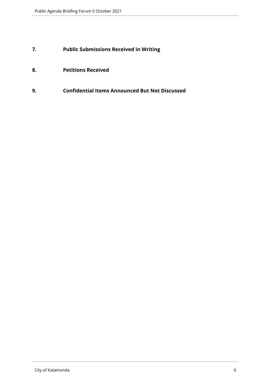### <span id="page-5-0"></span>**7. Public Submissions Received in Writing**

- <span id="page-5-1"></span>**8. Petitions Received**
- <span id="page-5-2"></span>**9. Confidential Items Announced But Not Discussed**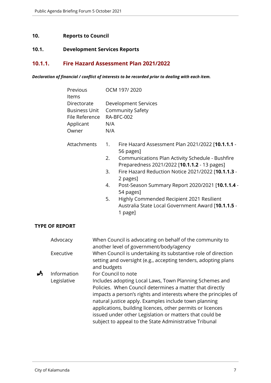#### <span id="page-6-0"></span>**10. Reports to Council**

#### <span id="page-6-1"></span>**10.1. Development Services Reports**

#### <span id="page-6-2"></span>**10.1.1. Fire Hazard Assessment Plan 2021/2022**

*Declaration of financial / conflict of interests to be recorded prior to dealing with each item.*

| Previous             | OCM 197/2020            |
|----------------------|-------------------------|
| ltems                |                         |
| Directorate          | Development Services    |
| <b>Business Unit</b> | <b>Community Safety</b> |
| File Reference       | RA-BFC-002              |
| Applicant            | N/A                     |
| )wner                | NI/A                    |

- Attachments 1. Fire Hazard Assessment Plan 2021/2022 [**10.1.1.1** 56 pages]
	- 2. Communications Plan Activity Schedule Bushfire Preparedness 2021/2022 [**10.1.1.2** - 13 pages]
	- 3. Fire Hazard Reduction Notice 2021/2022 [**10.1.1.3** 2 pages]
	- 4. Post-Season Summary Report 2020/2021 [**10.1.1.4** 54 pages]
	- 5. Highly Commended Recipient 2021 Resilient Australia State Local Government Award [**10.1.1.5** - 1 page]

#### **TYPE OF REPORT**

|   | Advocacy    | When Council is advocating on behalf of the community to        |
|---|-------------|-----------------------------------------------------------------|
|   |             | another level of government/body/agency                         |
|   | Executive   | When Council is undertaking its substantive role of direction   |
|   |             | setting and oversight (e.g., accepting tenders, adopting plans  |
|   |             | and budgets                                                     |
| ₳ | Information | For Council to note                                             |
|   | Legislative | Includes adopting Local Laws, Town Planning Schemes and         |
|   |             | Policies. When Council determines a matter that directly        |
|   |             | impacts a person's rights and interests where the principles of |
|   |             | natural justice apply. Examples include town planning           |
|   |             | applications, building licences, other permits or licences      |
|   |             | issued under other Legislation or matters that could be         |
|   |             | subject to appeal to the State Administrative Tribunal          |
|   |             |                                                                 |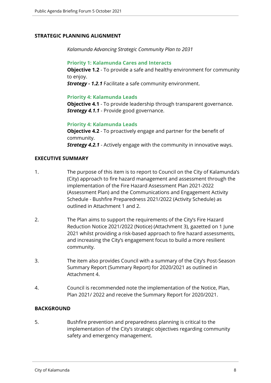#### **STRATEGIC PLANNING ALIGNMENT**

*Kalamunda Advancing Strategic Community Plan to 2031*

#### **Priority 1: Kalamunda Cares and Interacts**

**Objective 1.2** - To provide a safe and healthy environment for community to enjoy.

*Strategy - 1.2.1* Facilitate a safe community environment.

#### **Priority 4: Kalamunda Leads**

**Objective 4.1** - To provide leadership through transparent governance. *Strategy 4.1.1* - Provide good governance.

#### **Priority 4: Kalamunda Leads**

**Objective 4.2** - To proactively engage and partner for the benefit of community. *Strategy 4.2.1* - Actively engage with the community in innovative ways.

#### **EXECUTIVE SUMMARY**

- 1. The purpose of this item is to report to Council on the City of Kalamunda's (City) approach to fire hazard management and assessment through the implementation of the Fire Hazard Assessment Plan 2021-2022 (Assessment Plan) and the Communications and Engagement Activity Schedule - Bushfire Preparedness 2021/2022 (Activity Schedule) as outlined in Attachment 1 and 2.
- 2. The Plan aims to support the requirements of the City's Fire Hazard Reduction Notice 2021/2022 (Notice) (Attachment 3), gazetted on 1 June 2021 whilst providing a risk-based approach to fire hazard assessments, and increasing the City's engagement focus to build a more resilient community.
- 3. The item also provides Council with a summary of the City's Post-Season Summary Report (Summary Report) for 2020/2021 as outlined in Attachment 4.
- 4. Council is recommended note the implementation of the Notice, Plan, Plan 2021/ 2022 and receive the Summary Report for 2020/2021.

#### **BACKGROUND**

5. Bushfire prevention and preparedness planning is critical to the implementation of the City's strategic objectives regarding community safety and emergency management.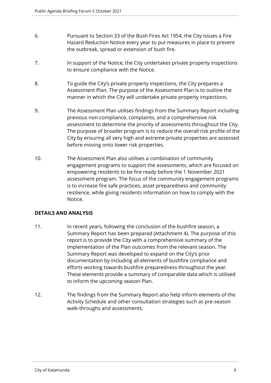- 6. Pursuant to Section 33 of the Bush Fires Act 1954, the City issues a Fire Hazard Reduction Notice every year to put measures in place to prevent the outbreak, spread or extension of bush fire.
- 7. In support of the Notice, the City undertakes private property inspections to ensure compliance with the Notice.
- 8. To guide the City's private property inspections, the City prepares a Assessment Plan. The purpose of the Assessment Plan is to outline the manner in which the City will undertake private property inspections.
- 9. The Assessment Plan utilises findings from the Summary Report including previous non-compliance, complaints, and a comprehensive risk assessment to determine the priority of assessments throughout the City. The purpose of broader program is to reduce the overall risk profile of the City by ensuring all very high and extreme private properties are assessed before moving onto lower risk properties.
- 10. The Assessment Plan also utilises a combination of community engagement programs to support the assessments, which are focused on empowering residents to be fire ready before the 1 November 2021 assessment program. The focus of the community engagement programs is to increase fire safe practices, asset preparedness and community resilience, while giving residents information on how to comply with the Notice.

#### **DETAILS AND ANALYSIS**

- 11. In recent years, following the conclusion of the bushfire season, a Summary Report has been prepared (Attachment 4). The purpose of this report is to provide the City with a comprehensive summary of the implementation of the Plan outcomes from the relevant season. The Summary Report was developed to expand on the City's prior documentation by including all elements of bushfire compliance and efforts working towards bushfire preparedness throughout the year. These elements provide a summary of comparable data which is utilised to inform the upcoming season Plan.
- 12. The findings from the Summary Report also help inform elements of the Activity Schedule and other consultation strategies such as pre-season walk-throughs and assessments.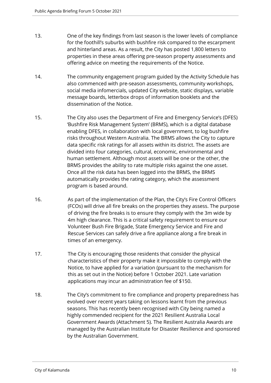- 13. One of the key findings from last season is the lower levels of compliance for the foothill's suburbs with bushfire risk compared to the escarpment and hinterland areas. As a result, the City has posted 1,800 letters to properties in these areas offering pre-season property assessments and offering advice on meeting the requirements of the Notice.
- 14. The community engagement program guided by the Activity Schedule has also commenced with pre-season assessments, community workshops, social media infomercials, updated City website, static displays, variable message boards, letterbox drops of information booklets and the dissemination of the Notice.
- 15. The City also uses the Department of Fire and Emergency Service's (DFES) 'Bushfire Risk Management System' (BRMS), which is a digital database enabling DFES, in collaboration with local government, to log bushfire risks throughout Western Australia. The BRMS allows the City to capture data specific risk ratings for all assets within its district. The assets are divided into four categories, cultural, economic, environmental and human settlement. Although most assets will be one or the other, the BRMS provides the ability to rate multiple risks against the one asset. Once all the risk data has been logged into the BRMS, the BRMS automatically provides the rating category, which the assessment program is based around.
- 16. As part of the implementation of the Plan, the City's Fire Control Officers (FCOs) will drive all fire breaks on the properties they assess. The purpose of driving the fire breaks is to ensure they comply with the 3m wide by 4m high clearance. This is a critical safety requirement to ensure our Volunteer Bush Fire Brigade, State Emergency Service and Fire and Rescue Services can safely drive a fire appliance along a fire break in times of an emergency.
- 17. The City is encouraging those residents that consider the physical characteristics of their property make it impossible to comply with the Notice, to have applied for a variation (pursuant to the mechanism for this as set out in the Notice) before 1 October 2021. Late variation applications may incur an administration fee of \$150.
- 18. The City's commitment to fire compliance and property preparedness has evolved over recent years taking on lessons learnt from the previous seasons. This has recently been recognised with City being named a highly commended recipient for the 2021 Resilient Australia Local Government Awards (Attachment 5). The Resilient Australia Awards are managed by the Australian Institute for Disaster Resilience and sponsored by the Australian Government.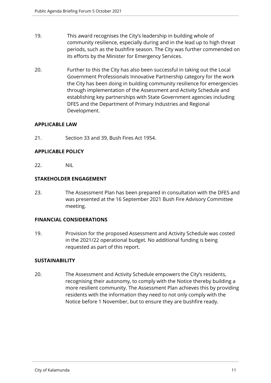- 19. This award recognises the City's leadership in building whole of community resilience, especially during and in the lead up to high threat periods, such as the bushfire season. The City was further commended on its efforts by the Minister for Emergency Services.
- 20. Further to this the City has also been successful in taking out the Local Government Professionals Innovative Partnership category for the work the City has been doing in building community resilience for emergencies through implementation of the Assessment and Activity Schedule and establishing key partnerships with State Government agencies including DFES and the Department of Primary Industries and Regional Development.

#### **APPLICABLE LAW**

21. Section 33 and 39, Bush Fires Act 1954.

#### **APPLICABLE POLICY**

22. NIL

#### **STAKEHOLDER ENGAGEMENT**

23. The Assessment Plan has been prepared in consultation with the DFES and was presented at the 16 September 2021 Bush Fire Advisory Committee meeting.

#### **FINANCIAL CONSIDERATIONS**

19. Provision for the proposed Assessment and Activity Schedule was costed in the 2021/22 operational budget. No additional funding is being requested as part of this report.

#### **SUSTAINABILITY**

20. The Assessment and Activity Schedule empowers the City's residents, recognising their autonomy, to comply with the Notice thereby building a more resilient community. The Assessment Plan achieves this by providing residents with the information they need to not only comply with the Notice before 1 November, but to ensure they are bushfire ready.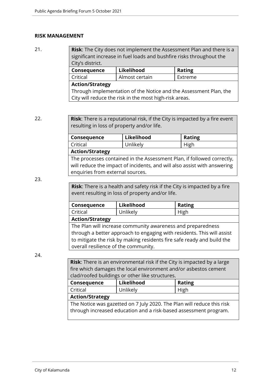#### **RISK MANAGEMENT**

21. **Risk**: The City does not implement the Assessment Plan and there is a significant increase in fuel loads and bushfire risks throughout the City's district. **Consequence Likelihood Rating** Critical Almost certain Extreme **Action/Strategy**

#### Through implementation of the Notice and the Assessment Plan, the City will reduce the risk in the most high-risk areas.

22. **Risk**: There is a reputational risk, if the City is impacted by a fire event resulting in loss of property and/or life.

| Consequence                                                              | Likelihood | <b>Rating</b> |  |  |
|--------------------------------------------------------------------------|------------|---------------|--|--|
| Critical                                                                 | Unlikely   | High          |  |  |
| <b>Action/Strategy</b>                                                   |            |               |  |  |
| The processes contained in the Assessment Plan, if followed correctly,   |            |               |  |  |
| will reduce the impact of incidents, and will also assist with answering |            |               |  |  |
| enquiries from external sources.                                         |            |               |  |  |

23.

**Risk**: There is a health and safety risk if the City is impacted by a fire event resulting in loss of property and/or life.

| Consequence | Likelihood | <b>Rating</b> |
|-------------|------------|---------------|
| Critical    | Unlikely   | High          |

**Action/Strategy**

The Plan will increase community awareness and preparedness through a better approach to engaging with residents. This will assist to mitigate the risk by making residents fire safe ready and build the overall resilience of the community.

24.

**Risk**: There is an environmental risk if the City is impacted by a large fire which damages the local environment and/or asbestos cement clad/roofed buildings or other like structures.

| Consequence                                                            | Likelihood | <b>Rating</b> |  |  |
|------------------------------------------------------------------------|------------|---------------|--|--|
| Unlikely<br>Critical<br>High                                           |            |               |  |  |
| <b>Action/Strategy</b>                                                 |            |               |  |  |
| The Notice was gazetted on 7 July 2020. The Plan will reduce this risk |            |               |  |  |
| through increased education and a risk-based assessment program.       |            |               |  |  |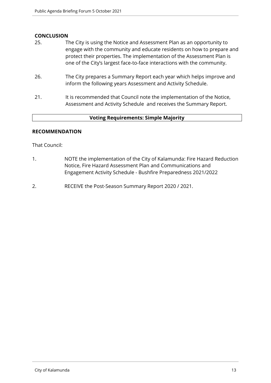#### **CONCLUSION**

- 25. The City is using the Notice and Assessment Plan as an opportunity to engage with the community and educate residents on how to prepare and protect their properties. The implementation of the Assessment Plan is one of the City's largest face-to-face interactions with the community.
- 26. The City prepares a Summary Report each year which helps improve and inform the following years Assessment and Activity Schedule.
- 21. It is recommended that Council note the implementation of the Notice, Assessment and Activity Schedule and receives the Summary Report.

#### **Voting Requirements: Simple Majority**

#### **RECOMMENDATION**

That Council:

- 1. NOTE the implementation of the City of Kalamunda: Fire Hazard Reduction Notice, Fire Hazard Assessment Plan and Communications and Engagement Activity Schedule - Bushfire Preparedness 2021/2022
- 2. RECEIVE the Post-Season Summary Report 2020 / 2021.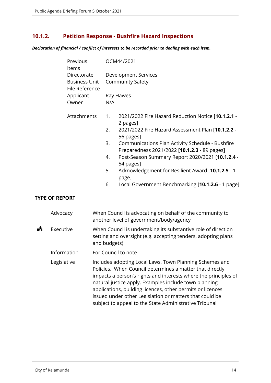### <span id="page-13-0"></span>**10.1.2. Petition Response - Bushfire Hazard Inspections**

*Declaration of financial / conflict of interests to be recorded prior to dealing with each item.*

| Previous<br>Items                                                  |                                  | OCM44/2021                                                                                                                                                                                                                                                                                                                                                                                                               |
|--------------------------------------------------------------------|----------------------------------|--------------------------------------------------------------------------------------------------------------------------------------------------------------------------------------------------------------------------------------------------------------------------------------------------------------------------------------------------------------------------------------------------------------------------|
| Directorate<br><b>Business Unit</b><br>File Reference<br>Applicant |                                  | <b>Development Services</b><br><b>Community Safety</b><br>Ray Hawes                                                                                                                                                                                                                                                                                                                                                      |
| Owner                                                              | N/A                              |                                                                                                                                                                                                                                                                                                                                                                                                                          |
| Attachments                                                        | 1.<br>2.<br>3.<br>4.<br>5.<br>6. | 2021/2022 Fire Hazard Reduction Notice [10.1.2.1 -<br>2 pages]<br>2021/2022 Fire Hazard Assessment Plan [10.1.2.2 -<br>56 pages]<br>Communications Plan Activity Schedule - Bushfire<br>Preparedness 2021/2022 [10.1.2.3 - 89 pages]<br>Post-Season Summary Report 2020/2021 [10.1.2.4 -<br>54 pages]<br>Acknowledgement for Resilient Award [10.1.2.5 - 1<br>page]<br>Local Government Benchmarking [10.1.2.6 - 1 page] |
|                                                                    |                                  |                                                                                                                                                                                                                                                                                                                                                                                                                          |

#### **TYPE OF REPORT**

|   | Advocacy    | When Council is advocating on behalf of the community to<br>another level of government/body/agency                                                                                                                                                                                                                                                                                                                                |
|---|-------------|------------------------------------------------------------------------------------------------------------------------------------------------------------------------------------------------------------------------------------------------------------------------------------------------------------------------------------------------------------------------------------------------------------------------------------|
| ₳ | Executive   | When Council is undertaking its substantive role of direction<br>setting and oversight (e.g. accepting tenders, adopting plans<br>and budgets)                                                                                                                                                                                                                                                                                     |
|   | Information | For Council to note                                                                                                                                                                                                                                                                                                                                                                                                                |
|   | Legislative | Includes adopting Local Laws, Town Planning Schemes and<br>Policies. When Council determines a matter that directly<br>impacts a person's rights and interests where the principles of<br>natural justice apply. Examples include town planning<br>applications, building licences, other permits or licences<br>issued under other Legislation or matters that could be<br>subject to appeal to the State Administrative Tribunal |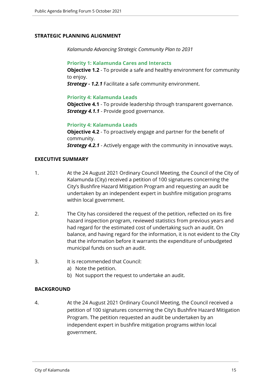#### **STRATEGIC PLANNING ALIGNMENT**

*Kalamunda Advancing Strategic Community Plan to 2031*

#### **Priority 1: Kalamunda Cares and Interacts**

**Objective 1.2** - To provide a safe and healthy environment for community to enjoy.

*Strategy - 1.2.1* Facilitate a safe community environment.

#### **Priority 4: Kalamunda Leads**

**Objective 4.1** - To provide leadership through transparent governance. *Strategy 4.1.1* - Provide good governance.

#### **Priority 4: Kalamunda Leads**

**Objective 4.2** - To proactively engage and partner for the benefit of community. *Strategy 4.2.1* - Actively engage with the community in innovative ways.

#### **EXECUTIVE SUMMARY**

- 1. At the 24 August 2021 Ordinary Council Meeting, the Council of the City of Kalamunda (City) received a petition of 100 signatures concerning the City's Bushfire Hazard Mitigation Program and requesting an audit be undertaken by an independent expert in bushfire mitigation programs within local government.
- 2. The City has considered the request of the petition, reflected on its fire hazard inspection program, reviewed statistics from previous years and had regard for the estimated cost of undertaking such an audit. On balance, and having regard for the information, it is not evident to the City that the information before it warrants the expenditure of unbudgeted municipal funds on such an audit.
- 3. It is recommended that Council:
	- a) Note the petition.
	- b) Not support the request to undertake an audit.

#### **BACKGROUND**

4. At the 24 August 2021 Ordinary Council Meeting, the Council received a petition of 100 signatures concerning the City's Bushfire Hazard Mitigation Program. The petition requested an audit be undertaken by an independent expert in bushfire mitigation programs within local government.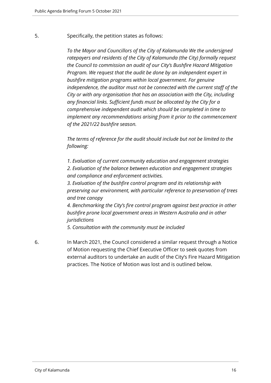5. Specifically, the petition states as follows:

*To the Mayor and Councillors of the City of Kalamunda We the undersigned ratepayers and residents of the City of Kalamunda (the City) formally request the Council to commission an audit of our City's Bushfire Hazard Mitigation Program. We request that the audit be done by an independent expert in bushfire mitigation programs within local government. For genuine independence, the auditor must not be connected with the current staff of the City or with any organisation that has an association with the City, including any financial links. Sufficient funds must be allocated by the City for a comprehensive independent audit which should be completed in time to implement any recommendations arising from it prior to the commencement of the 2021/22 bushfire season.* 

*The terms of reference for the audit should include but not be limited to the following:* 

*1. Evaluation of current community education and engagement strategies 2. Evaluation of the balance between education and engagement strategies and compliance and enforcement activities.* 

*3. Evaluation of the bushfire control program and its relationship with preserving our environment, with particular reference to preservation of trees and tree canopy* 

*4. Benchmarking the City's fire control program against best practice in other bushfire prone local government areas in Western Australia and in other jurisdictions* 

*5. Consultation with the community must be included*

6. In March 2021, the Council considered a similar request through a Notice of Motion requesting the Chief Executive Officer to seek quotes from external auditors to undertake an audit of the City's Fire Hazard Mitigation practices. The Notice of Motion was lost and is outlined below.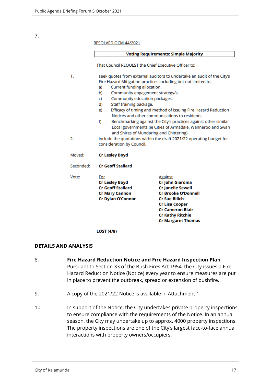7.

| RESOLVED OCM 44/2021 |  |  |
|----------------------|--|--|
|----------------------|--|--|

|           |                                                                                                                                          | <b>Voting Requirements: Simple Majority</b>                                                                      |  |  |
|-----------|------------------------------------------------------------------------------------------------------------------------------------------|------------------------------------------------------------------------------------------------------------------|--|--|
|           | That Council REQUEST the Chief Executive Officer to:                                                                                     |                                                                                                                  |  |  |
| 1.        | seek quotes from external auditors to undertake an audit of the City's<br>Fire Hazard Mitigation practices including but not limited to; |                                                                                                                  |  |  |
|           | a)                                                                                                                                       | Current funding allocation.                                                                                      |  |  |
|           | b)                                                                                                                                       | Community engagement strategy/s.                                                                                 |  |  |
|           | Community education packages.<br>C)                                                                                                      |                                                                                                                  |  |  |
|           | Staff training package.<br>d)                                                                                                            |                                                                                                                  |  |  |
|           | e)                                                                                                                                       | Efficacy of timing and method of issuing Fire Hazard Reduction<br>Notices and other communications to residents. |  |  |
|           | f)<br>Benchmarking against the City's practices against other similar<br>Local governments (ie Cities of Armadale, Wanneroo and Swan     |                                                                                                                  |  |  |
| 2.        | and Shires of Mundaring and Chittering).                                                                                                 |                                                                                                                  |  |  |
|           | include the quotations within the draft 2021/22 operating budget for<br>consideration by Council.                                        |                                                                                                                  |  |  |
| Moved:    | <b>Cr Lesley Boyd</b>                                                                                                                    |                                                                                                                  |  |  |
| Seconded: | <b>Cr Geoff Stallard</b>                                                                                                                 |                                                                                                                  |  |  |
| Vote:     | For                                                                                                                                      | <b>Against</b>                                                                                                   |  |  |
|           | <b>Cr Lesley Boyd</b>                                                                                                                    | Cr John Giardina                                                                                                 |  |  |
|           | <b>Cr Geoff Stallard</b>                                                                                                                 | <b>Cr Janelle Sewell</b>                                                                                         |  |  |
|           | <b>Cr Mary Cannon</b>                                                                                                                    | <b>Cr Brooke O'Donnell</b>                                                                                       |  |  |
|           | Cr Dylan O'Connor                                                                                                                        | <b>Cr Sue Bilich</b><br><b>Cr Lisa Cooper</b>                                                                    |  |  |
|           |                                                                                                                                          | <b>Cr Cameron Blair</b>                                                                                          |  |  |
|           |                                                                                                                                          | <b>Cr Kathy Ritchie</b>                                                                                          |  |  |
|           |                                                                                                                                          | <b>Cr Margaret Thomas</b>                                                                                        |  |  |

**LOST (4/8)** 

#### **DETAILS AND ANALYSIS**

- 8. **Fire Hazard Reduction Notice and Fire Hazard Inspection Plan** Pursuant to Section 33 of the Bush Fires Act 1954, the City issues a Fire Hazard Reduction Notice (Notice) every year to ensure measures are put in place to prevent the outbreak, spread or extension of bushfire.
- 9. A copy of the 2021/22 Notice is available in Attachment 1.
- 10. In support of the Notice, the City undertakes private property inspections to ensure compliance with the requirements of the Notice. In an annual season, the City may undertake up to approx. 4000 property inspections. The property inspections are one of the City's largest face-to-face annual interactions with property owners/occupiers.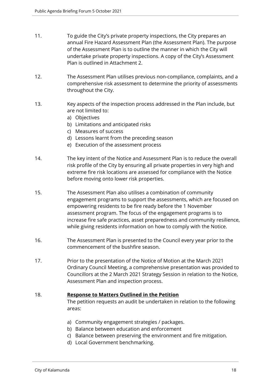- 11. To guide the City's private property inspections, the City prepares an annual Fire Hazard Assessment Plan (the Assessment Plan). The purpose of the Assessment Plan is to outline the manner in which the City will undertake private property inspections. A copy of the City's Assessment Plan is outlined in Attachment 2.
- 12. The Assessment Plan utilises previous non-compliance, complaints, and a comprehensive risk assessment to determine the priority of assessments throughout the City.
- 13. Key aspects of the inspection process addressed in the Plan include, but are not limited to:
	- a) Objectives
	- b) Limitations and anticipated risks
	- c) Measures of success
	- d) Lessons learnt from the preceding season
	- e) Execution of the assessment process
- 14. The key intent of the Notice and Assessment Plan is to reduce the overall risk profile of the City by ensuring all private properties in very high and extreme fire risk locations are assessed for compliance with the Notice before moving onto lower risk properties.
- 15. The Assessment Plan also utilises a combination of community engagement programs to support the assessments, which are focused on empowering residents to be fire ready before the 1 November assessment program. The focus of the engagement programs is to increase fire safe practices, asset preparedness and community resilience, while giving residents information on how to comply with the Notice.
- 16. The Assessment Plan is presented to the Council every year prior to the commencement of the bushfire season.
- 17. Prior to the presentation of the Notice of Motion at the March 2021 Ordinary Council Meeting, a comprehensive presentation was provided to Councillors at the 2 March 2021 Strategy Session in relation to the Notice, Assessment Plan and inspection process.

#### 18. **Response to Matters Outlined in the Petition**

The petition requests an audit be undertaken in relation to the following areas:

- a) Community engagement strategies / packages.
- b) Balance between education and enforcement
- c) Balance between preserving the environment and fire mitigation.
- d) Local Government benchmarking.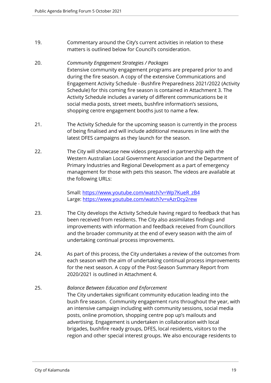- 19. Commentary around the City's current activities in relation to these matters is outlined below for Council's consideration.
- 20. *Community Engagement Strategies / Packages*  Extensive community engagement programs are prepared prior to and during the fire season. A copy of the extensive Communications and Engagement Activity Schedule - Bushfire Preparedness 2021/2022 (Activity Schedule) for this coming fire season is contained in Attachment 3. The Activity Schedule includes a variety of different communications be it social media posts, street meets, bushfire information's sessions, shopping centre engagement booths just to name a few.
- 21. The Activity Schedule for the upcoming season is currently in the process of being finalised and will include additional measures in line with the latest DFES campaigns as they launch for the season.
- 22. The City will showcase new videos prepared in partnership with the Western Australian Local Government Association and the Department of Primary Industries and Regional Development as a part of emergency management for those with pets this season. The videos are available at the following URLs:

Small: [https://www.youtube.com/watch?v=Wp7KueR\\_zB4](https://www.youtube.com/watch?v=Wp7KueR_zB4) Large: <https://www.youtube.com/watch?v=vAzrDcy2rew>

- 23. The City develops the Activity Schedule having regard to feedback that has been received from residents. The City also assimilates findings and improvements with information and feedback received from Councillors and the broader community at the end of every season with the aim of undertaking continual process improvements.
- 24. As part of this process, the City undertakes a review of the outcomes from each season with the aim of undertaking continual process improvements for the next season. A copy of the Post-Season Summary Report from 2020/2021 is outlined in Attachment 4.
- 25. *Balance Between Education and Enforcement*  The City undertakes significant community education leading into the bush fire season. Community engagement runs throughout the year, with an intensive campaign including with community sessions, social media posts, online promotion, shopping centre pop up's mailouts and advertising. Engagement is undertaken in collaboration with local brigades, bushfire ready groups, DFES, local residents, visitors to the region and other special interest groups. We also encourage residents to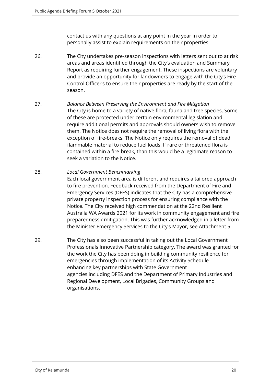contact us with any questions at any point in the year in order to personally assist to explain requirements on their properties.

- 26. The City undertakes pre-season inspections with letters sent out to at risk areas and areas identified through the City's evaluation and Summary Report as requiring further engagement. These inspections are voluntary and provide an opportunity for landowners to engage with the City's Fire Control Officer's to ensure their properties are ready by the start of the season.
- 27. *Balance Between Preserving the Environment and Fire Mitigation*  The City is home to a variety of native flora, fauna and tree species. Some of these are protected under certain environmental legislation and require additional permits and approvals should owners wish to remove them. The Notice does not require the removal of living flora with the exception of fire-breaks. The Notice only requires the removal of dead flammable material to reduce fuel loads. If rare or threatened flora is contained within a fire-break, than this would be a legitimate reason to seek a variation to the Notice.

#### 28. *Local Government Benchmarking*

Each local government area is different and requires a tailored approach to fire prevention. Feedback received from the Department of Fire and Emergency Services (DFES) indicates that the City has a comprehensive private property inspection process for ensuring compliance with the Notice. The City received high commendation at the 22nd Resilient Australia WA Awards 2021 for its work in community engagement and fire preparedness / mitigation. This was further acknowledged in a letter from the Minister Emergency Services to the City's Mayor, see Attachment 5.

29. The City has also been successful in taking out the Local Government Professionals Innovative Partnership category. The award was granted for the work the City has been doing in building community resilience for emergencies through implementation of its Activity Schedule enhancing key partnerships with State Government agencies including DFES and the Department of Primary Industries and Regional Development, Local Brigades, Community Groups and organisations.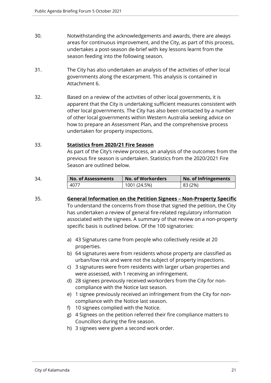- 30. Notwithstanding the acknowledgements and awards, there are always areas for continuous improvement, and the City, as part of this process, undertakes a post-season de-brief with key lessons learnt from the season feeding into the following season.
- 31. The City has also undertaken an analysis of the activities of other local governments along the escarpment. This analysis is contained in Attachment 6.
- 32. Based on a review of the activities of other local governments, it is apparent that the City is undertaking sufficient measures consistent with other local governments. The City has also been contacted by a number of other local governments within Western Australia seeking advice on how to prepare an Assessment Plan, and the comprehensive process undertaken for property inspections.

#### 33. **Statistics from 2020/21 Fire Season**

As part of the City's review process, an analysis of the outcomes from the previous fire season is undertaken. Statistics from the 2020/2021 Fire Season are outlined below.

| 34. | <b>No. of Assessments</b> | No. of Workorders | No. of Infringements |  |
|-----|---------------------------|-------------------|----------------------|--|
|     | 4077                      | 1001 (24.5%)      | 83 (2%)              |  |

- 35. **General Information on the Petition Signees Non-Property Specific**  To understand the concerns from those that signed the petition, the City has undertaken a review of general fire-related regulatory information associated with the signees. A summary of that review on a non-property specific basis is outlined below. Of the 100 signatories:
	- a) 43 Signatures came from people who collectively reside at 20 properties.
	- b) 64 signatures were from residents whose property are classified as urban/low risk and were not the subject of property inspections.
	- c) 3 signatures were from residents with larger urban properties and were assessed, with 1 receiving an infringement.
	- d) 28 signees previously received workorders from the City for noncompliance with the Notice last season.
	- e) 1 signee previously received an infringement from the City for noncompliance with the Notice last season.
	- f) 10 signees complied with the Notice.
	- g) 4 Signees on the petition referred their fire compliance matters to Councillors during the fire season.
	- h) 3 signees were given a second work order.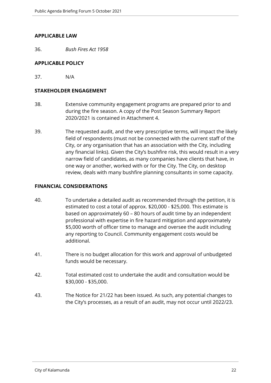#### **APPLICABLE LAW**

36. *Bush Fires Act 1958* 

#### **APPLICABLE POLICY**

37. N/A

#### **STAKEHOLDER ENGAGEMENT**

- 38. Extensive community engagement programs are prepared prior to and during the fire season. A copy of the Post Season Summary Report 2020/2021 is contained in Attachment 4.
- 39. The requested audit, and the very prescriptive terms, will impact the likely field of respondents (must not be connected with the current staff of the City, or any organisation that has an association with the City, including any financial links). Given the City's bushfire risk, this would result in a very narrow field of candidates, as many companies have clients that have, in one way or another, worked with or for the City. The City, on desktop review, deals with many bushfire planning consultants in some capacity.

#### **FINANCIAL CONSIDERATIONS**

- 40. To undertake a detailed audit as recommended through the petition, it is estimated to cost a total of approx. \$20,000 - \$25,000. This estimate is based on approximately 60 – 80 hours of audit time by an independent professional with expertise in fire hazard mitigation and approximately \$5,000 worth of officer time to manage and oversee the audit including any reporting to Council. Community engagement costs would be additional.
- 41. There is no budget allocation for this work and approval of unbudgeted funds would be necessary.
- 42. Total estimated cost to undertake the audit and consultation would be \$30,000 - \$35,000.
- 43. The Notice for 21/22 has been issued. As such, any potential changes to the City's processes, as a result of an audit, may not occur until 2022/23.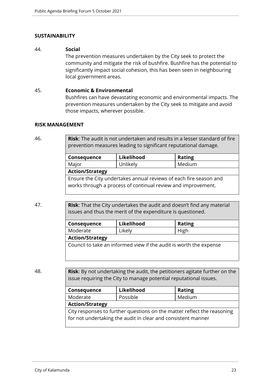#### **SUSTAINABILITY**

#### 44. **Social**

The prevention measures undertaken by the City seek to protect the community and mitigate the risk of bushfire. Bushfire has the potential to significantly impact social cohesion, this has been seen in neighbouring local government areas.

#### 45. **Economic & Environmental**

Bushfires can have devastating economic and environmental impacts. The prevention measures undertaken by the City seek to mitigate and avoid those impacts, wherever possible.

#### **RISK MANAGEMENT**

46. **Risk**: The audit is not undertaken and results in a lesser standard of fire prevention measures leading to significant reputational damage.

| Consequence                                                                                                                       | Likelihood | <b>Rating</b> |  |  |
|-----------------------------------------------------------------------------------------------------------------------------------|------------|---------------|--|--|
| Major                                                                                                                             | Unlikely   | Medium        |  |  |
| <b>Action/Strategy</b>                                                                                                            |            |               |  |  |
| Ensure the City undertakes annual reviews of each fire season and<br>works through a process of continual review and improvement. |            |               |  |  |

47. **Risk**: That the City undertakes the audit and doesn't find any material issues and thus the merit of the expenditure is questioned.

| Consequence            | Likelihood                                                         | <b>Rating</b> |
|------------------------|--------------------------------------------------------------------|---------------|
| Moderate               | Likely                                                             | High          |
| <b>Action/Strategy</b> |                                                                    |               |
|                        | Council to take an informed view if the audit is worth the expense |               |

48. **Risk**: By not undertaking the audit, the petitioners agitate further on the issue requiring the City to manage potential reputational issues.

| Consequence                                                             | Likelihood | <b>Rating</b> |
|-------------------------------------------------------------------------|------------|---------------|
| Moderate                                                                | Possible   | Medium        |
| <b>Action/Strategy</b>                                                  |            |               |
| City responses to further questions on the matter reflect the reasoning |            |               |
| for not undertaking the audit in clear and consistent manner            |            |               |
|                                                                         |            |               |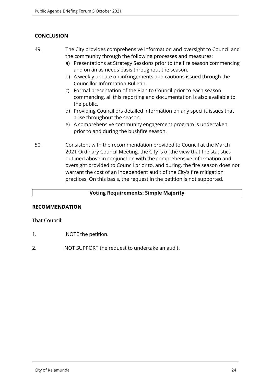#### **CONCLUSION**

- 49. The City provides comprehensive information and oversight to Council and the community through the following processes and measures:
	- a) Presentations at Strategy Sessions prior to the fire season commencing and on an as needs basis throughout the season.
	- b) A weekly update on infringements and cautions issued through the Councillor Information Bulletin.
	- c) Formal presentation of the Plan to Council prior to each season commencing, all this reporting and documentation is also available to the public.
	- d) Providing Councillors detailed information on any specific issues that arise throughout the season.
	- e) A comprehensive community engagement program is undertaken prior to and during the bushfire season.
- 50. Consistent with the recommendation provided to Council at the March 2021 Ordinary Council Meeting, the City is of the view that the statistics outlined above in conjunction with the comprehensive information and oversight provided to Council prior to, and during, the fire season does not warrant the cost of an independent audit of the City's fire mitigation practices. On this basis, the request in the petition is not supported.

#### **Voting Requirements: Simple Majority**

#### **RECOMMENDATION**

That Council:

- 1. NOTE the petition.
- 2. NOT SUPPORT the request to undertake an audit.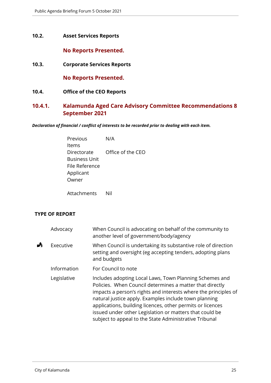#### <span id="page-24-0"></span>**10.2. Asset Services Reports**

#### **No Reports Presented.**

<span id="page-24-1"></span>**10.3. Corporate Services Reports**

**No Reports Presented.**

<span id="page-24-2"></span>**10.4. Office of the CEO Reports**

#### <span id="page-24-3"></span>**10.4.1. Kalamunda Aged Care Advisory Committee Recommendations 8 September 2021**

*Declaration of financial / conflict of interests to be recorded prior to dealing with each item.*

| Previous             | N/A               |
|----------------------|-------------------|
| ltems                |                   |
| Directorate          | Office of the CEO |
| <b>Business Unit</b> |                   |
| File Reference       |                   |
| Applicant            |                   |
| Owner                |                   |
|                      |                   |

Attachments Nil

#### **TYPE OF REPORT**

|   | Advocacy    | When Council is advocating on behalf of the community to<br>another level of government/body/agency                                                                                                                                                                                                                                                                                                                                |
|---|-------------|------------------------------------------------------------------------------------------------------------------------------------------------------------------------------------------------------------------------------------------------------------------------------------------------------------------------------------------------------------------------------------------------------------------------------------|
| Å | Executive   | When Council is undertaking its substantive role of direction<br>setting and oversight (eg accepting tenders, adopting plans<br>and budgets                                                                                                                                                                                                                                                                                        |
|   | Information | For Council to note                                                                                                                                                                                                                                                                                                                                                                                                                |
|   | Legislative | Includes adopting Local Laws, Town Planning Schemes and<br>Policies. When Council determines a matter that directly<br>impacts a person's rights and interests where the principles of<br>natural justice apply. Examples include town planning<br>applications, building licences, other permits or licences<br>issued under other Legislation or matters that could be<br>subject to appeal to the State Administrative Tribunal |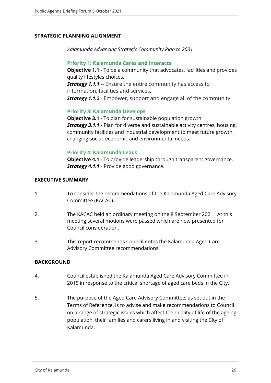#### **STRATEGIC PLANNING ALIGNMENT**

*Kalamunda Advancing Strategic Community Plan to 2031*

#### **Priority 1: Kalamunda Cares and Interacts**

**Objective 1.1** - To be a community that advocates, facilities and provides quality lifestyles choices. **Strategy 1.1.1** -- Ensure the entire community has access to information, facilities and services. *Strategy 1.1.2* - Empower, support and engage all of the community.

#### **Priority 3: Kalamunda Develops**

**Objective 3.1** - To plan for sustainable population growth. *Strategy 3.1.1* - Plan for diverse and sustainable activity centres, housing, community facilities and industrial development to meet future growth, changing social, economic and environmental needs.

#### **Priority 4: Kalamunda Leads**

**Objective 4.1** - To provide leadership through transparent governance. **Strategy 4.1.1** - Provide good governance.

#### **EXECUTIVE SUMMARY**

- 1. To consider the recommendations of the Kalamunda Aged Care Advisory Committee (KACAC).
- 2. The KACAC held an ordinary meeting on the 8 September 2021. At this meeting several motions were passed which are now presented for Council consideration.
- 3. This report recommends Council notes the Kalamunda Aged Care Advisory Committee recommendations.

#### **BACKGROUND**

- 4. Council established the Kalamunda Aged Care Advisory Committee in 2015 in response to the critical shortage of aged care beds in the City.
- 5. The purpose of the Aged Care Advisory Committee, as set out in the Terms of Reference, is to advise and make recommendations to Council on a range of strategic issues which affect the quality of life of the ageing population, their families and carers living in and visiting the City of Kalamunda.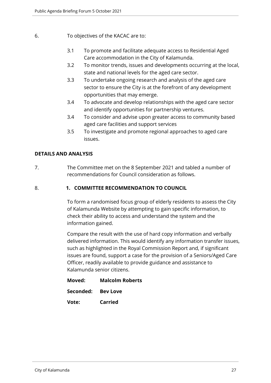- 6. To objectives of the KACAC are to:
	- 3.1 To promote and facilitate adequate access to Residential Aged Care accommodation in the City of Kalamunda.
	- 3.2 To monitor trends, issues and developments occurring at the local, state and national levels for the aged care sector.
	- 3.3 To undertake ongoing research and analysis of the aged care sector to ensure the City is at the forefront of any development opportunities that may emerge.
	- 3.4 To advocate and develop relationships with the aged care sector and identify opportunities for partnership ventures.
	- 3.4 To consider and advise upon greater access to community based aged care facilities and support services
	- 3.5 To investigate and promote regional approaches to aged care issues.

#### **DETAILS AND ANALYSIS**

7. The Committee met on the 8 September 2021 and tabled a number of recommendations for Council consideration as follows.

#### 8. **1. COMMITTEE RECOMMENDATION TO COUNCIL**

To form a randomised focus group of elderly residents to assess the City of Kalamunda Website by attempting to gain specific information, to check their ability to access and understand the system and the information gained.

Compare the result with the use of hard copy information and verbally delivered information. This would identify any information transfer issues, such as highlighted in the Royal Commission Report and, if significant issues are found, support a case for the provision of a Seniors/Aged Care Officer, readily available to provide guidance and assistance to Kalamunda senior citizens.

| Moved:             | <b>Malcolm Roberts</b> |
|--------------------|------------------------|
| Seconded: Bey Love |                        |
| Vote:              | <b>Carried</b>         |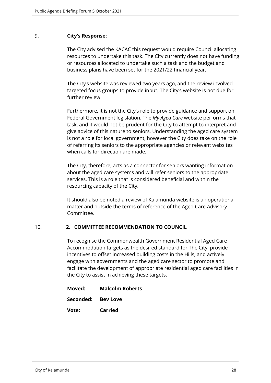#### 9. **City's Response:**

The City advised the KACAC this request would require Council allocating resources to undertake this task. The City currently does not have funding or resources allocated to undertake such a task and the budget and business plans have been set for the 2021/22 financial year.

The City's website was reviewed two years ago, and the review involved targeted focus groups to provide input. The City's website is not due for further review.

Furthermore, it is not the City's role to provide guidance and support on Federal Government legislation. The *My Aged Care* website performs that task, and it would not be prudent for the City to attempt to interpret and give advice of this nature to seniors. Understanding the aged care system is not a role for local government, however the City does take on the role of referring its seniors to the appropriate agencies or relevant websites when calls for direction are made.

The City, therefore, acts as a connector for seniors wanting information about the aged care systems and will refer seniors to the appropriate services. This is a role that is considered beneficial and within the resourcing capacity of the City.

It should also be noted a review of Kalamunda website is an operational matter and outside the terms of reference of the Aged Care Advisory Committee.

#### 10. **2. COMMITTEE RECOMMENDATION TO COUNCIL**

To recognise the Commonwealth Government Residential Aged Care Accommodation targets as the desired standard for The City, provide incentives to offset increased building costs in the Hills, and actively engage with governments and the aged care sector to promote and facilitate the development of appropriate residential aged care facilities in the City to assist in achieving these targets.

| Moved:             | <b>Malcolm Roberts</b> |
|--------------------|------------------------|
| Seconded: Bey Love |                        |
| Vote:              | <b>Carried</b>         |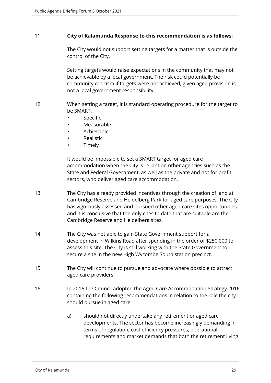#### 11. **City of Kalamunda Response to this recommendation is as follows:**

The City would not support setting targets for a matter that is outside the control of the City.

Setting targets would raise expectations in the community that may not be achievable by a local government. The risk could potentially be community criticism if targets were not achieved, given aged provision is not a local government responsibility.

- 12. When setting a target, it is standard operating procedure for the target to be SMART:
	- **Specific**
	- Measurable
	- Achievable
	- **Realistic**
	- **Timely**

It would be impossible to set a SMART target for aged care accommodation when the City is reliant on other agencies such as the State and Federal Government, as well as the private and not for profit sectors, who deliver aged care accommodation.

- 13. The City has already provided incentives through the creation of land at Cambridge Reserve and Heidelberg Park for aged care purposes. The City has vigorously assessed and pursued other aged care sites opportunities and it is conclusive that the only cites to date that are suitable are the Cambridge Reserve and Heidelberg sites.
- 14. The City was not able to gain State Government support for a development in Wilkins Road after spending in the order of \$250,000 to assess this site. The City is still working with the State Government to secure a site in the new High Wycombe South station precinct.
- 15. The City will continue to pursue and advocate where possible to attract aged care providers.
- 16. In 2016 the Council adopted the Aged Care Accommodation Strategy 2016 containing the following recommendations in relation to the role the city should pursue in aged care.
	- a) should not directly undertake any retirement or aged care developments. The sector has become increasingly demanding in terms of regulation, cost efficiency pressures, operational requirements and market demands that both the retirement living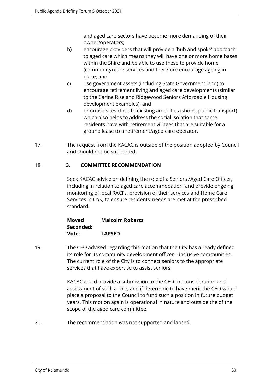and aged care sectors have become more demanding of their owner/operators;

- b) encourage providers that will provide a 'hub and spoke' approach to aged care which means they will have one or more home bases within the Shire and be able to use these to provide home (community) care services and therefore encourage ageing in place; and
- c) use government assets (including State Government land) to encourage retirement living and aged care developments (similar to the Carine Rise and Ridgewood Seniors Affordable Housing development examples); and
- d) prioritise sites close to existing amenities (shops, public transport) which also helps to address the social isolation that some residents have with retirement villages that are suitable for a ground lease to a retirement/aged care operator.
- 17. The request from the KACAC is outside of the position adopted by Council and should not be supported.

#### 18. **3. COMMITTEE RECOMMENDATION**

Seek KACAC advice on defining the role of a Seniors /Aged Care Officer, including in relation to aged care accommodation, and provide ongoing monitoring of local RACFs, provision of their services and Home Care Services in CoK, to ensure residents' needs are met at the prescribed standard.

**Moved Malcolm Roberts Seconded: Vote: LAPSED**

19. The CEO advised regarding this motion that the City has already defined its role for its community development officer – inclusive communities. The current role of the City is to connect seniors to the appropriate services that have expertise to assist seniors.

> KACAC could provide a submission to the CEO for consideration and assessment of such a role, and if determine to have merit the CEO would place a proposal to the Council to fund such a position in future budget years. This motion again is operational in nature and outside the of the scope of the aged care committee.

20. The recommendation was not supported and lapsed.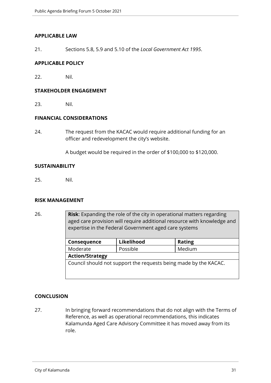#### **APPLICABLE LAW**

21. Sections 5.8, 5.9 and 5.10 of the *Local Government Act 1995*.

#### **APPLICABLE POLICY**

22. Nil.

#### **STAKEHOLDER ENGAGEMENT**

23. Nil.

#### **FINANCIAL CONSIDERATIONS**

24. The request from the KACAC would require additional funding for an officer and redevelopment the city's website.

A budget would be required in the order of \$100,000 to \$120,000.

#### **SUSTAINABILITY**

25. Nil.

#### **RISK MANAGEMENT**

26. **Risk**: Expanding the role of the city in operational matters regarding aged care provision will require additional resource with knowledge and expertise in the Federal Government aged care systems

| Consequence                                                      | Likelihood | <b>Rating</b> |
|------------------------------------------------------------------|------------|---------------|
| Moderate                                                         | Possible   | Medium        |
| <b>Action/Strategy</b>                                           |            |               |
| Council should not support the requests being made by the KACAC. |            |               |

#### **CONCLUSION**

27. In bringing forward recommendations that do not align with the Terms of Reference, as well as operational recommendations, this indicates Kalamunda Aged Care Advisory Committee it has moved away from its role.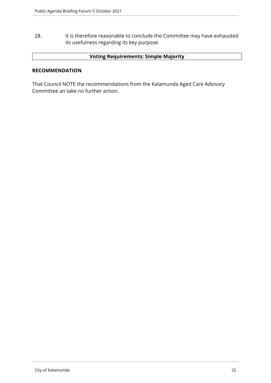28. It is therefore reasonable to conclude the Committee may have exhausted its usefulness regarding its key purpose.

#### **Voting Requirements: Simple Majority**

#### **RECOMMENDATION**

That Council NOTE the recommendations from the Kalamunda Aged Care Advisory Committee an take no further action.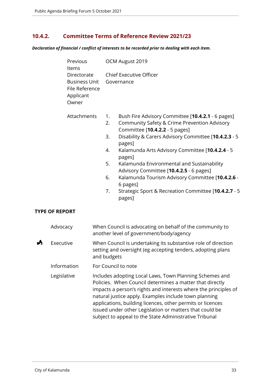#### <span id="page-32-0"></span>**10.4.2. Committee Terms of Reference Review 2021/23**

*Declaration of financial / conflict of interests to be recorded prior to dealing with each item.*

| OCM August 2019                                                                                                                                                                                                                                                                                                                                |  |
|------------------------------------------------------------------------------------------------------------------------------------------------------------------------------------------------------------------------------------------------------------------------------------------------------------------------------------------------|--|
| Directorate Chief Executive Officer<br><b>Business Unit</b> Governance                                                                                                                                                                                                                                                                         |  |
| Bush Fire Advisory Committee [10.4.2.1 - 6 pages]<br>1.<br>Community Safety & Crime Prevention Advisory<br>2.<br>Committee [10.4.2.2 - 5 pages]<br>Disability & Carers Advisory Committee [10.4.2.3 - 5<br>3.<br>pages]<br>Kalamunda Arts Advisory Committee [10.4.2.4 - 5<br>4.<br>pages]<br>Kalamunda Environmental and Sustainability<br>5. |  |
| Advisory Committee [10.4.2.5 - 6 pages]<br>Kalamunda Tourism Advisory Committee [10.4.2.6 -<br>6.<br>6 pages]<br>Strategic Sport & Recreation Committee [10.4.2.7 - 5<br>7.<br>pages]                                                                                                                                                          |  |
|                                                                                                                                                                                                                                                                                                                                                |  |

#### **TYPE OF REPORT**

|   | Advocacy    | When Council is advocating on behalf of the community to<br>another level of government/body/agency                                                                                                                                                                                                                                                                                                                                |
|---|-------------|------------------------------------------------------------------------------------------------------------------------------------------------------------------------------------------------------------------------------------------------------------------------------------------------------------------------------------------------------------------------------------------------------------------------------------|
| A | Executive   | When Council is undertaking its substantive role of direction<br>setting and oversight (eg accepting tenders, adopting plans<br>and budgets                                                                                                                                                                                                                                                                                        |
|   | Information | For Council to note                                                                                                                                                                                                                                                                                                                                                                                                                |
|   | Legislative | Includes adopting Local Laws, Town Planning Schemes and<br>Policies. When Council determines a matter that directly<br>impacts a person's rights and interests where the principles of<br>natural justice apply. Examples include town planning<br>applications, building licences, other permits or licences<br>issued under other Legislation or matters that could be<br>subject to appeal to the State Administrative Tribunal |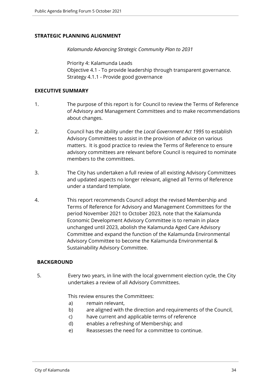#### **STRATEGIC PLANNING ALIGNMENT**

*Kalamunda Advancing Strategic Community Plan to 2031*

Priority 4: Kalamunda Leads Objective 4.1 - To provide leadership through transparent governance. Strategy 4.1.1 - Provide good governance

#### **EXECUTIVE SUMMARY**

- 1. The purpose of this report is for Council to review the Terms of Reference of Advisory and Management Committees and to make recommendations about changes.
- 2. Council has the ability under the *Local Government Act 1995* to establish Advisory Committees to assist in the provision of advice on various matters. It is good practice to review the Terms of Reference to ensure advisory committees are relevant before Council is required to nominate members to the committees.
- 3. The City has undertaken a full review of all existing Advisory Committees and updated aspects no longer relevant, aligned all Terms of Reference under a standard template.
- 4. This report recommends Council adopt the revised Membership and Terms of Reference for Advisory and Management Committees for the period November 2021 to October 2023, note that the Kalamunda Economic Development Advisory Committee is to remain in place unchanged until 2023, abolish the Kalamunda Aged Care Advisory Committee and expand the function of the Kalamunda Environmental Advisory Committee to become the Kalamunda Environmental & Sustainability Advisory Committee.

#### **BACKGROUND**

5. Every two years, in line with the local government election cycle, the City undertakes a review of all Advisory Committees.

#### This review ensures the Committees:

- a) remain relevant,
- b) are aligned with the direction and requirements of the Council,
- c) have current and applicable terms of reference
- d) enables a refreshing of Membership; and
- e) Reassesses the need for a committee to continue.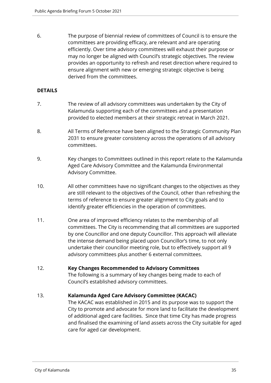6. The purpose of biennial review of committees of Council is to ensure the committees are providing efficacy, are relevant and are operating efficiently. Over time advisory committees will exhaust their purpose or may no longer be aligned with Council's strategic objectives. The review provides an opportunity to refresh and reset direction where required to ensure alignment with new or emerging strategic objective is being derived from the committees.

#### **DETAILS**

- 7. The review of all advisory committees was undertaken by the City of Kalamunda supporting each of the committees and a presentation provided to elected members at their strategic retreat in March 2021.
- 8. All Terms of Reference have been aligned to the Strategic Community Plan 2031 to ensure greater consistency across the operations of all advisory committees.
- 9. Key changes to Committees outlined in this report relate to the Kalamunda Aged Care Advisory Committee and the Kalamunda Environmental Advisory Committee.
- 10. All other committees have no significant changes to the objectives as they are still relevant to the objectives of the Council, other than refreshing the terms of reference to ensure greater alignment to City goals and to identify greater efficiencies in the operation of committees.
- 11. One area of improved efficiency relates to the membership of all committees. The City is recommending that all committees are supported by one Councillor and one deputy Councillor. This approach will alleviate the intense demand being placed upon Councillor's time, to not only undertake their councillor meeting role, but to effectively support all 9 advisory committees plus another 6 external committees.

#### 12. **Key Changes Recommended to Advisory Committees**

The following is a summary of key changes being made to each of Council's established advisory committees.

#### 13. **Kalamunda Aged Care Advisory Committee (KACAC)**

The KACAC was established in 2015 and its purpose was to support the City to promote and advocate for more land to facilitate the development of additional aged care facilities. Since that time City has made progress and finalised the examining of land assets across the City suitable for aged care for aged car development.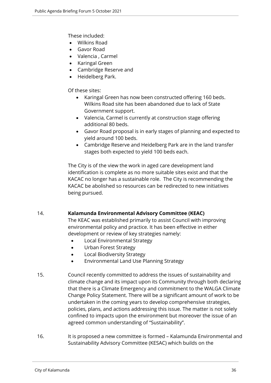These included:

- Wilkins Road
- Gavor Road
- Valencia , Carmel
- Karingal Green
- Cambridge Reserve and
- Heidelberg Park.

Of these sites:

- Karingal Green has now been constructed offering 160 beds. Wilkins Road site has been abandoned due to lack of State Government support.
- Valencia, Carmel is currently at construction stage offering additional 80 beds.
- Gavor Road proposal is in early stages of planning and expected to yield around 100 beds.
- Cambridge Reserve and Heidelberg Park are in the land transfer stages both expected to yield 100 beds each.

The City is of the view the work in aged care development land identification is complete as no more suitable sites exist and that the KACAC no longer has a sustainable role. The City is recommending the KACAC be abolished so resources can be redirected to new initiatives being pursued.

#### 14. **Kalamunda Environmental Advisory Committee (KEAC)**

The KEAC was established primarily to assist Council with improving environmental policy and practice. It has been effective in either development or review of key strategies namely:

- Local Environmental Strategy
- Urban Forest Strategy
- Local Biodiversity Strategy
- Environmental Land Use Planning Strategy
- 15. Council recently committed to address the issues of sustainability and climate change and its impact upon its Community through both declaring that there is a Climate Emergency and commitment to the WALGA Climate Change Policy Statement. There will be a significant amount of work to be undertaken in the coming years to develop comprehensive strategies, policies, plans, and actions addressing this issue. The matter is not solely confined to impacts upon the environment but moreover the issue of an agreed common understanding of "Sustainability".
- 16. It is proposed a new committee is formed Kalamunda Environmental and Sustainability Advisory Committee (KESAC) which builds on the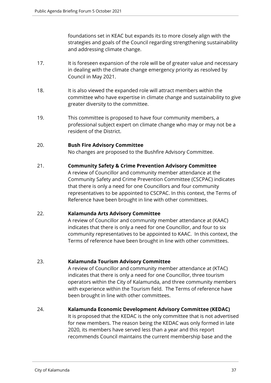foundations set in KEAC but expands its to more closely align with the strategies and goals of the Council regarding strengthening sustainability and addressing climate change.

- 17. It is foreseen expansion of the role will be of greater value and necessary in dealing with the climate change emergency priority as resolved by Council in May 2021.
- 18. It is also viewed the expanded role will attract members within the committee who have expertise in climate change and sustainability to give greater diversity to the committee.
- 19. This committee is proposed to have four community members, a professional subject expert on climate change who may or may not be a resident of the District.

#### 20. **Bush Fire Advisory Committee**

No changes are proposed to the Bushfire Advisory Committee.

#### 21. **Community Safety & Crime Prevention Advisory Committee**

A review of Councillor and community member attendance at the Community Safety and Crime Prevention Committee (CSCPAC) indicates that there is only a need for one Councillors and four community representatives to be appointed to CSCPAC. In this context, the Terms of Reference have been brought in line with other committees.

#### 22. **Kalamunda Arts Advisory Committee**

A review of Councillor and community member attendance at (KAAC) indicates that there is only a need for one Councillor, and four to six community representatives to be appointed to KAAC. In this context, the Terms of reference have been brought in line with other committees.

#### 23. **Kalamunda Tourism Advisory Committee**

A review of Councillor and community member attendance at (KTAC) indicates that there is only a need for one Councillor, three tourism operators within the City of Kalamunda, and three community members with experience within the Tourism field. The Terms of reference have been brought in line with other committees.

#### 24. **Kalamunda Economic Development Advisory Committee (KEDAC)**

It is proposed that the KEDAC is the only committee that is not advertised for new members. The reason being the KEDAC was only formed in late 2020, its members have served less than a year and this report recommends Council maintains the current membership base and the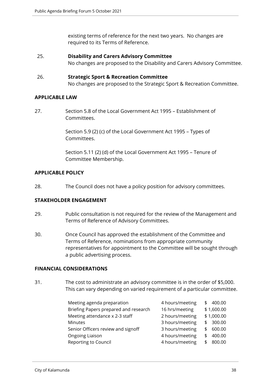existing terms of reference for the next two years. No changes are required to its Terms of Reference.

- 25. **Disability and Carers Advisory Committee**  No changes are proposed to the Disability and Carers Advisory Committee.
- 26. **Strategic Sport & Recreation Committee** No changes are proposed to the Strategic Sport & Recreation Committee.

#### **APPLICABLE LAW**

27. Section 5.8 of the Local Government Act 1995 – Establishment of **Committees** 

> Section 5.9 (2) (c) of the Local Government Act 1995 – Types of Committees.

Section 5.11 (2) (d) of the Local Government Act 1995 – Tenure of Committee Membership.

#### **APPLICABLE POLICY**

28. The Council does not have a policy position for advisory committees.

#### **STAKEHOLDER ENGAGEMENT**

- 29. Public consultation is not required for the review of the Management and Terms of Reference of Advisory Committees.
- 30. Once Council has approved the establishment of the Committee and Terms of Reference, nominations from appropriate community representatives for appointment to the Committee will be sought through a public advertising process.

#### **FINANCIAL CONSIDERATIONS**

31. The cost to administrate an advisory committee is in the order of \$5,000. This can vary depending on varied requirement of a particular committee.

| Meeting agenda preparation            | 4 hours/meeting | 400.00<br>S. |
|---------------------------------------|-----------------|--------------|
| Briefing Papers prepared and research | 16 hrs/meeting  | \$1,600.00   |
| Meeting attendance x 2-3 staff        | 2 hours/meeting | \$1,000.00   |
| <b>Minutes</b>                        | 3 hours/meeting | 300.00<br>\$ |
| Senior Officers review and signoff    | 3 hours/meeting | 600.00<br>S. |
| Ongoing Liaison                       | 4 hours/meeting | 400.00<br>ፍ  |
| Reporting to Council                  | 4 hours/meeting | 800.00<br>S  |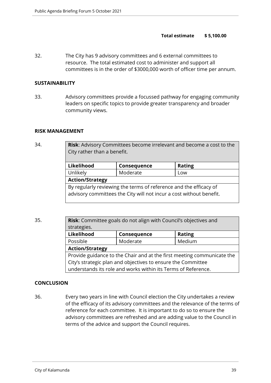#### **Total estimate \$ 5,100.00**

32. The City has 9 advisory committees and 6 external committees to resource. The total estimated cost to administer and support all committees is in the order of \$3000,000 worth of officer time per annum.

#### **SUSTAINABILITY**

33. Advisory committees provide a focussed pathway for engaging community leaders on specific topics to provide greater transparency and broader community views.

#### **RISK MANAGEMENT**

34. **Risk**: Advisory Committees become irrelevant and become a cost to the City rather than a benefit.

| Likelihood<br>Consequence                                           |          | <b>Rating</b> |
|---------------------------------------------------------------------|----------|---------------|
|                                                                     |          |               |
| Unlikely                                                            | Moderate | Low           |
| <b>Action/Strategy</b>                                              |          |               |
| By regularly reviewing the terms of reference and the efficacy of   |          |               |
| advisory committees the City will not incur a cost without benefit. |          |               |
|                                                                     |          |               |

35. **Risk**: Committee goals do not align with Council's objectives and strategies. **Likelihood Consequence Rating** Possible Moderate Medium

> **Action/Strategy** Provide guidance to the Chair and at the first meeting communicate the City's strategic plan and objectives to ensure the Committee understands its role and works within its Terms of Reference.

#### **CONCLUSION**

36. Every two years in line with Council election the City undertakes a review of the efficacy of its advisory committees and the relevance of the terms of reference for each committee. It is important to do so to ensure the advisory committees are refreshed and are adding value to the Council in terms of the advice and support the Council requires.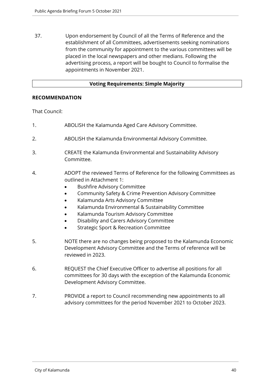37. Upon endorsement by Council of all the Terms of Reference and the establishment of all Committees, advertisements seeking nominations from the community for appointment to the various committees will be placed in the local newspapers and other medians. Following the advertising process, a report will be bought to Council to formalise the appointments in November 2021.

#### **Voting Requirements: Simple Majority**

#### **RECOMMENDATION**

That Council:

- 1. ABOLISH the Kalamunda Aged Care Advisory Committee.
- 2. ABOLISH the Kalamunda Environmental Advisory Committee.
- 3. CREATE the Kalamunda Environmental and Sustainability Advisory Committee.
- 4. ADOPT the reviewed Terms of Reference for the following Committees as outlined in Attachment 1:
	- **•** Bushfire Advisory Committee
	- Community Safety & Crime Prevention Advisory Committee
	- Kalamunda Arts Advisory Committee
	- Kalamunda Environmental & Sustainability Committee
	- Kalamunda Tourism Advisory Committee
	- Disability and Carers Advisory Committee
	- **•** Strategic Sport & Recreation Committee
- 5. NOTE there are no changes being proposed to the Kalamunda Economic Development Advisory Committee and the Terms of reference will be reviewed in 2023.
- 6. REQUEST the Chief Executive Officer to advertise all positions for all committees for 30 days with the exception of the Kalamunda Economic Development Advisory Committee.
- 7. PROVIDE a report to Council recommending new appointments to all advisory committees for the period November 2021 to October 2023.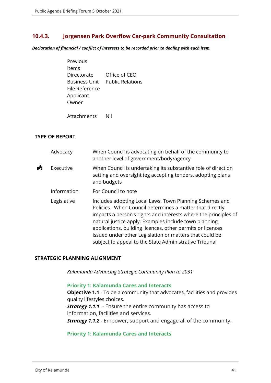#### <span id="page-40-0"></span>**10.4.3. Jorgensen Park Overflow Car-park Community Consultation**

*Declaration of financial / conflict of interests to be recorded prior to dealing with each item.*

| Previous             |                         |
|----------------------|-------------------------|
| ltems                |                         |
| Directorate          | Office of CEO           |
| <b>Business Unit</b> | <b>Public Relations</b> |
| File Reference       |                         |
| Applicant            |                         |
| Owner                |                         |
|                      |                         |

Attachments Nil

#### **TYPE OF REPORT**

|   | Advocacy    | When Council is advocating on behalf of the community to<br>another level of government/body/agency                                                                                                                                                                                                                                                                                                                                |
|---|-------------|------------------------------------------------------------------------------------------------------------------------------------------------------------------------------------------------------------------------------------------------------------------------------------------------------------------------------------------------------------------------------------------------------------------------------------|
| A | Executive   | When Council is undertaking its substantive role of direction<br>setting and oversight (eg accepting tenders, adopting plans<br>and budgets                                                                                                                                                                                                                                                                                        |
|   | Information | For Council to note                                                                                                                                                                                                                                                                                                                                                                                                                |
|   | Legislative | Includes adopting Local Laws, Town Planning Schemes and<br>Policies. When Council determines a matter that directly<br>impacts a person's rights and interests where the principles of<br>natural justice apply. Examples include town planning<br>applications, building licences, other permits or licences<br>issued under other Legislation or matters that could be<br>subject to appeal to the State Administrative Tribunal |

#### **STRATEGIC PLANNING ALIGNMENT**

*Kalamunda Advancing Strategic Community Plan to 2031*

#### **Priority 1: Kalamunda Cares and Interacts**

**Objective 1.1** - To be a community that advocates, facilities and provides quality lifestyles choices.

**Strategy 1.1.1** -- Ensure the entire community has access to information, facilities and services.

*Strategy 1.1.2* - Empower, support and engage all of the community.

#### **Priority 1: Kalamunda Cares and Interacts**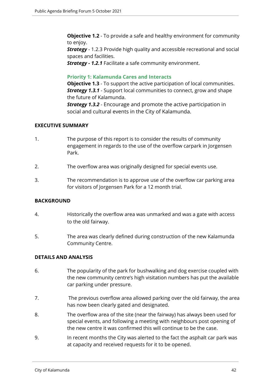**Objective 1.2** - To provide a safe and healthy environment for community to enjoy.

**Strategy** - 1.2.3 Provide high quality and accessible recreational and social spaces and facilities.

*Strategy - 1.2.1* Facilitate a safe community environment.

#### **Priority 1: Kalamunda Cares and Interacts**

**Objective 1.3** - To support the active participation of local communities. *Strategy 1.3.1* - Support local communities to connect, grow and shape the future of Kalamunda.

*Strategy 1.3.2* - Encourage and promote the active participation in social and cultural events in the City of Kalamunda.

#### **EXECUTIVE SUMMARY**

- 1. The purpose of this report is to consider the results of community engagement in regards to the use of the overflow carpark in Jorgensen Park.
- 2. The overflow area was originally designed for special events use.
- 3. The recommendation is to approve use of the overflow car parking area for visitors of Jorgensen Park for a 12 month trial.

#### **BACKGROUND**

- 4. Historically the overflow area was unmarked and was a gate with access to the old fairway.
- 5. The area was clearly defined during construction of the new Kalamunda Community Centre.

#### **DETAILS AND ANALYSIS**

- 6. The popularity of the park for bushwalking and dog exercise coupled with the new community centre's high visitation numbers has put the available car parking under pressure.
- 7. The previous overflow area allowed parking over the old fairway, the area has now been clearly gated and designated.
- 8. The overflow area of the site (near the fairway) has always been used for special events, and following a meeting with neighbours post opening of the new centre it was confirmed this will continue to be the case.
- 9. In recent months the City was alerted to the fact the asphalt car park was at capacity and received requests for it to be opened.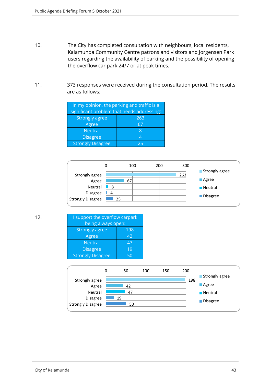- 10. The City has completed consultation with neighbours, local residents, Kalamunda Community Centre patrons and visitors and Jorgensen Park users regarding the availability of parking and the possibility of opening the overflow car park 24/7 or at peak times.
- 11. 373 responses were received during the consultation period. The results are as follows:

| In my opinion, the parking and traffic is a |     |  |  |
|---------------------------------------------|-----|--|--|
| significant problem that needs addressing:  |     |  |  |
| <b>Strongly agree</b>                       | 263 |  |  |
| Agree                                       | 67  |  |  |
| <b>Neutral</b>                              | 8   |  |  |
| <b>Disagree</b>                             | Δ   |  |  |
| <b>Strongly Disagree</b>                    | つら  |  |  |



| 12 <sub>1</sub> | I support the overflow carpark |     |  |
|-----------------|--------------------------------|-----|--|
|                 | being always open:             |     |  |
|                 | <b>Strongly agree</b>          | 198 |  |
|                 | Agree                          | 42  |  |
|                 | <b>Neutral</b>                 | 47  |  |
|                 | <b>Disagree</b>                | 19  |  |
|                 | <b>Strongly Disagree</b>       | 50  |  |
|                 |                                |     |  |

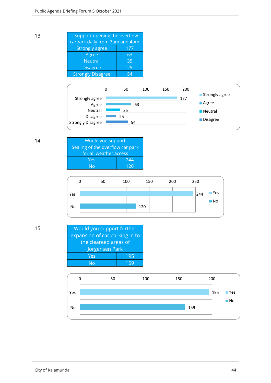| 13. | I support opening the overflow  |     |  |  |  |
|-----|---------------------------------|-----|--|--|--|
|     | carpark daily from 7am and 4pm: |     |  |  |  |
|     | <b>Strongly agree</b>           | 177 |  |  |  |
|     | Agree                           | 63  |  |  |  |
|     | <b>Neutral</b>                  | 35  |  |  |  |
|     | <b>Disagree</b>                 | 25  |  |  |  |
|     | <b>Strongly Disagree</b>        | 54  |  |  |  |
|     |                                 |     |  |  |  |



| 14. | Would you support                |     |  |
|-----|----------------------------------|-----|--|
|     | Sealing of the overflow car park |     |  |
|     | for all weather access           |     |  |
|     | Yes                              | 244 |  |
|     | N٥                               | 120 |  |



15. Would you support further expansion of car parking in to the cleareed areas of Jorgensen Park Yes 195 No 159

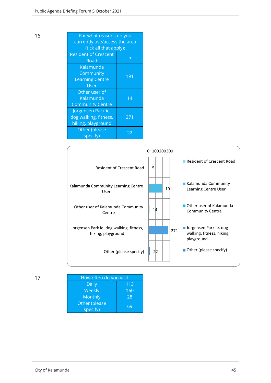| 16. | For what reasons do you       |     |  |
|-----|-------------------------------|-----|--|
|     | currently use/access the area |     |  |
|     | (tick all that apply):        |     |  |
|     | <b>Resident of Crescent</b>   | 5   |  |
|     | Road                          |     |  |
|     | Kalamunda                     |     |  |
|     | Community                     | 191 |  |
|     | <b>Learning Centre</b>        |     |  |
|     | User                          |     |  |
|     | Other user of                 |     |  |
|     | Kalamunda                     | 14  |  |
|     | <b>Community Centre</b>       |     |  |
|     | Jorgensen Park ie.            |     |  |
|     | dog walking, fitness,         | 271 |  |
|     | hiking, playground            |     |  |
|     | Other (please                 | 22  |  |
|     | specify)                      |     |  |



| 17. | How often do you visit: |     |  |
|-----|-------------------------|-----|--|
|     | <b>Daily</b>            | 113 |  |
|     | Weekly                  | 160 |  |
|     | Monthly                 | 28  |  |
|     | Other (please           |     |  |
|     | specify)                | 69  |  |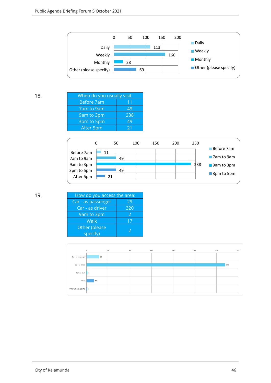

| 18. | When do you usually visit: |     |  |  |  |
|-----|----------------------------|-----|--|--|--|
|     | Before 7am                 | 11  |  |  |  |
|     | 7am to 9am                 | 49  |  |  |  |
|     | 9am to 3pm                 | 238 |  |  |  |
|     | 3pm to 5pm                 | 49  |  |  |  |
|     | After 5pm                  | 21  |  |  |  |
|     |                            |     |  |  |  |



| 19. | How do you access the area: |               |  |  |
|-----|-----------------------------|---------------|--|--|
|     | Car - as passenger          | 29            |  |  |
|     | Car - as driver             | 320           |  |  |
|     | 9am to 3pm                  | $\mathcal{P}$ |  |  |
|     | Walk                        | 17            |  |  |
|     | Other (please<br>specify)   |               |  |  |

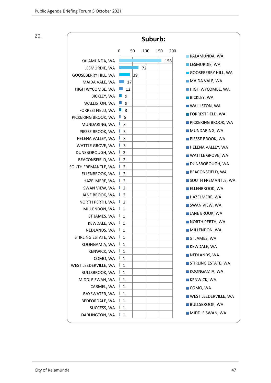20.

| Suburb:                               |                                  |     |     |     |                             |
|---------------------------------------|----------------------------------|-----|-----|-----|-----------------------------|
|                                       | 0<br>50                          | 100 | 150 | 200 |                             |
| KALAMUNDA, WA                         |                                  |     |     | 158 | <b>KALAMUNDA, WA</b>        |
| LESMURDIE, WA                         |                                  | 72  |     |     | LESMURDIE, WA               |
| GOOSEBERRY HILL, WA                   | 39                               |     |     |     | GOOSEBERRY HILL, WA         |
| MAIDA VALE, WA                        | 17                               |     |     |     | MAIDA VALE, WA              |
| HIGH WYCOMBE, WA                      | 12                               |     |     |     | <b>HIGH WYCOMBE, WA</b>     |
| <b>BICKLEY, WA</b>                    | 9                                |     |     |     | <b>BICKLEY, WA</b>          |
| WALLISTON, WA                         | 9                                |     |     |     | <b>WALLISTON, WA</b>        |
| FORRESTFIELD, WA                      | 8                                |     |     |     | FORRESTFIELD, WA            |
| PICKERING BROOK, WA                   | 5                                |     |     |     |                             |
| MUNDARING, WA                         | 3                                |     |     |     | <b>PICKERING BROOK, WA</b>  |
| PIESSE BROOK, WA                      | 3                                |     |     |     | MUNDARING, WA               |
| HELENA VALLEY, WA                     | 3                                |     |     |     | PIESSE BROOK, WA            |
| WATTLE GROVE, WA                      | 3                                |     |     |     | <b>HELENA VALLEY, WA</b>    |
| DUNSBOROUGH, WA                       | $\overline{2}$                   |     |     |     | <b>WATTLE GROVE, WA</b>     |
| BEACONSFIELD, WA                      | $\overline{2}$                   |     |     |     | DUNSBOROUGH, WA             |
| SOUTH FREMANTLE, WA<br>ELLENBROOK, WA | $\overline{2}$<br>$\overline{2}$ |     |     |     | <b>BEACONSFIELD, WA</b>     |
| HAZELMERE, WA                         | $\overline{2}$                   |     |     |     | SOUTH FREMANTLE, WA         |
| SWAN VIEW, WA                         | $\overline{2}$                   |     |     |     | <b>ELLENBROOK, WA</b>       |
| JANE BROOK, WA                        | $\overline{2}$                   |     |     |     |                             |
| NORTH PERTH, WA                       | $\overline{2}$                   |     |     |     | HAZELMERE, WA               |
| MILLENDON, WA                         | $\mathbf{1}$                     |     |     |     | SWAN VIEW, WA               |
| ST JAMES, WA                          | 1                                |     |     |     | <b>JANE BROOK, WA</b>       |
| KEWDALE, WA                           | 1                                |     |     |     | NORTH PERTH, WA             |
| NEDLANDS, WA                          | 1                                |     |     |     | <b>MILLENDON, WA</b>        |
| STIRLING ESTATE, WA                   | 1                                |     |     |     | ST JAMES, WA                |
| KOONGAMIA, WA                         | 1                                |     |     |     | <b>KEWDALE, WA</b>          |
| KENWICK, WA                           | $\mathbf{1}$                     |     |     |     | NEDLANDS, WA                |
| COMO, WA                              | 1                                |     |     |     | STIRLING ESTATE, WA         |
| WEST LEEDERVILLE, WA                  | $\mathbf{1}$                     |     |     |     |                             |
| <b>BULLSBROOK, WA</b>                 | 1                                |     |     |     | KOONGAMIA, WA               |
| MIDDLE SWAN, WA                       | $\mathbf{1}$                     |     |     |     | <b>KENWICK, WA</b>          |
| CARMEL, WA                            | $\mathbf{1}$                     |     |     |     | COMO, WA                    |
| BAYSWATER, WA<br>BEDFORDALE, WA       | $\mathbf{1}$<br>$\mathbf{1}$     |     |     |     | <b>WEST LEEDERVILLE, WA</b> |
| SUCCESS, WA                           | 1                                |     |     |     | <b>BULLSBROOK, WA</b>       |
| DARLINGTON, WA                        | $\mathbf{1}$                     |     |     |     | MIDDLE SWAN, WA             |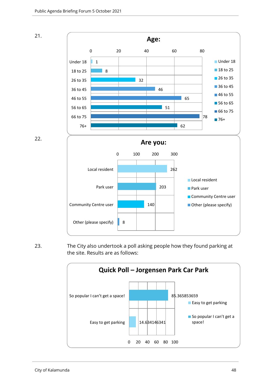

22.



23. The City also undertook a poll asking people how they found parking at the site. Results are as follows:

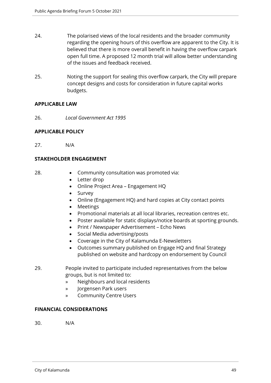- 24. The polarised views of the local residents and the broader community regarding the opening hours of this overflow are apparent to the City. It is believed that there is more overall benefit in having the overflow carpark open full time. A proposed 12 month trial will allow better understanding of the issues and feedback received.
- 25. Noting the support for sealing this overflow carpark, the City will prepare concept designs and costs for consideration in future capital works budgets.

#### **APPLICABLE LAW**

26. *Local Government Act 1995* 

#### **APPLICABLE POLICY**

27. N/A

#### **STAKEHOLDER ENGAGEMENT**

- 
- 28. Community consultation was promoted via:
	- Letter drop
	- Online Project Area Engagement HQ
	- Survey
	- Online (Engagement HQ) and hard copies at City contact points
	- Meetings
	- Promotional materials at all local libraries, recreation centres etc.
	- Poster available for static displays/notice boards at sporting grounds.
	- Print / Newspaper Advertisement Echo News
	- Social Media advertising/posts
	- Coverage in the City of Kalamunda E-Newsletters
	- Outcomes summary published on Engage HQ and final Strategy published on website and hardcopy on endorsement by Council
- 29. People invited to participate included representatives from the below groups, but is not limited to:
	- » Neighbours and local residents
	- » Jorgensen Park users
	- » Community Centre Users

#### **FINANCIAL CONSIDERATIONS**

30. N/A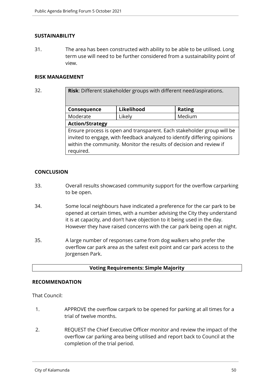#### **SUSTAINABILITY**

31. The area has been constructed with ability to be able to be utilised. Long term use will need to be further considered from a sustainability point of view.

#### **RISK MANAGEMENT**

32. **Risk**: Different stakeholder groups with different need/aspirations.

| Consequence                                                              | Likelihood | <b>Rating</b> |  |  |
|--------------------------------------------------------------------------|------------|---------------|--|--|
| Moderate                                                                 | Likely     | Medium        |  |  |
| <b>Action/Strategy</b>                                                   |            |               |  |  |
| Ensure process is open and transparent. Each stakeholder group will be   |            |               |  |  |
| invited to engage, with feedback analyzed to identify differing opinions |            |               |  |  |
| within the community. Monitor the results of decision and review if      |            |               |  |  |
| required.                                                                |            |               |  |  |

#### **CONCLUSION**

- 33. Overall results showcased community support for the overflow carparking to be open.
- 34. Some local neighbours have indicated a preference for the car park to be opened at certain times, with a number advising the City they understand it is at capacity, and don't have objection to it being used in the day. However they have raised concerns with the car park being open at night.
- 35. A large number of responses came from dog walkers who prefer the overflow car park area as the safest exit point and car park access to the Jorgensen Park.

#### **Voting Requirements: Simple Majority**

#### **RECOMMENDATION**

That Council:

- 1. APPROVE the overflow carpark to be opened for parking at all times for a trial of twelve months.
- 2. REQUEST the Chief Executive Officer monitor and review the impact of the overflow car parking area being utilised and report back to Council at the completion of the trial period.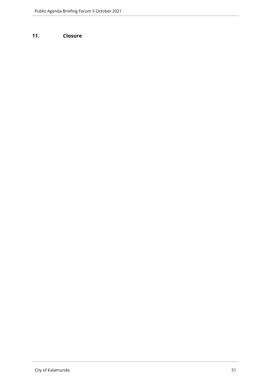#### <span id="page-50-0"></span>**11. Closure**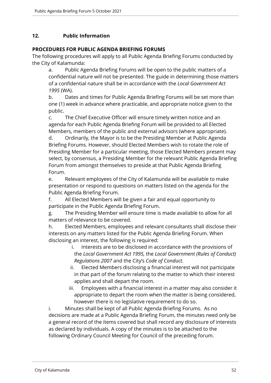#### <span id="page-51-0"></span>**12. Public Information**

#### **PROCEDURES FOR PUBLIC AGENDA BRIEFING FORUMS**

The following procedures will apply to all Public Agenda Briefing Forums conducted by the City of Kalamunda:

a. Public Agenda Briefing Forums will be open to the public matters of a confidential nature will not be presented. The guide in determining those matters of a confidential nature shall be in accordance with the *Local Government Act 1995* (WA).

b. Dates and times for Public Agenda Briefing Forums will be set more than one (1) week in advance where practicable, and appropriate notice given to the public.

c. The Chief Executive Officer will ensure timely written notice and an agenda for each Public Agenda Briefing Forum will be provided to all Elected Members, members of the public and external advisors (where appropriate).

d. Ordinarily, the Mayor is to be the Presiding Member at Public Agenda Briefing Forums. However, should Elected Members wish to rotate the role of Presiding Member for a particular meeting, those Elected Members present may select, by consensus, a Presiding Member for the relevant Public Agenda Briefing Forum from amongst themselves to preside at that Public Agenda Briefing Forum.

e. Relevant employees of the City of Kalamunda will be available to make presentation or respond to questions on matters listed on the agenda for the Public Agenda Briefing Forum.

f. All Elected Members will be given a fair and equal opportunity to participate in the Public Agenda Briefing Forum.

g. The Presiding Member will ensure time is made available to allow for all matters of relevance to be covered.

h. Elected Members, employees and relevant consultants shall disclose their interests on any matters listed for the Public Agenda Briefing Forum. When disclosing an interest, the following is required:

- i. Interests are to be disclosed in accordance with the provisions of the *Local Government Act 1995,* the *Local Government (Rules of Conduct) Regulations 2007* and the City's *Code of Conduct*.
- ii. Elected Members disclosing a financial interest will not participate in that part of the forum relating to the matter to which their interest applies and shall depart the room.
- iii. Employees with a financial interest in a matter may also consider it appropriate to depart the room when the matter is being considered, however there is no legislative requirement to do so.

i. Minutes shall be kept of all Public Agenda Briefing Forums. As no decisions are made at a Public Agenda Briefing Forum, the minutes need only be a general record of the items covered but shall record any disclosure of interests as declared by individuals. A copy of the minutes is to be attached to the following Ordinary Council Meeting for Council of the preceding forum.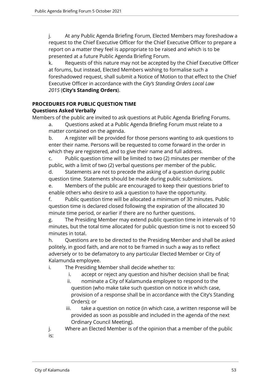j. At any Public Agenda Briefing Forum, Elected Members may foreshadow a request to the Chief Executive Officer for the Chief Executive Officer to prepare a report on a matter they feel is appropriate to be raised and which is to be presented at a future Public Agenda Briefing Forum.

k. Requests of this nature may not be accepted by the Chief Executive Officer at forums, but instead, Elected Members wishing to formalise such a foreshadowed request, shall submit a Notice of Motion to that effect to the Chief Executive Officer in accordance with the *City's Standing Orders Local Law 2015* (**City's Standing Orders**).

## **PROCEDURES FOR PUBLIC QUESTION TIME**

#### **Questions Asked Verbally**

Members of the public are invited to ask questions at Public Agenda Briefing Forums.

a. Questions asked at a Public Agenda Briefing Forum must relate to a matter contained on the agenda.

b. A register will be provided for those persons wanting to ask questions to enter their name. Persons will be requested to come forward in the order in which they are registered, and to give their name and full address.

c. Public question time will be limited to two (2) minutes per member of the public, with a limit of two (2) verbal questions per member of the public.

d. Statements are not to precede the asking of a question during public question time. Statements should be made during public submissions.

e. Members of the public are encouraged to keep their questions brief to enable others who desire to ask a question to have the opportunity.

f. Public question time will be allocated a minimum of 30 minutes. Public question time is declared closed following the expiration of the allocated 30 minute time period, or earlier if there are no further questions.

g. The Presiding Member may extend public question time in intervals of 10 minutes, but the total time allocated for public question time is not to exceed 50 minutes in total.

h. Questions are to be directed to the Presiding Member and shall be asked politely, in good faith, and are not to be framed in such a way as to reflect adversely or to be defamatory to any particular Elected Member or City of Kalamunda employee.

i. The Presiding Member shall decide whether to:

- i. accept or reject any question and his/her decision shall be final;
- ii. nominate a City of Kalamunda employee to respond to the question (who make take such question on notice in which case, provision of a response shall be in accordance with the City's Standing Orders); or
- iii. take a question on notice (in which case, a written response will be provided as soon as possible and included in the agenda of the next Ordinary Council Meeting).

j. Where an Elected Member is of the opinion that a member of the public is: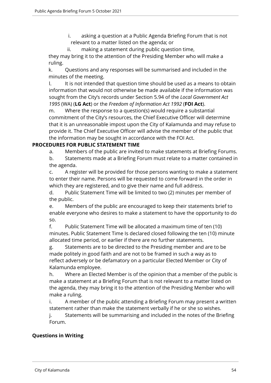- i. asking a question at a Public Agenda Briefing Forum that is not relevant to a matter listed on the agenda; or
- ii. making a statement during public question time,

they may bring it to the attention of the Presiding Member who will make a ruling.

k. Questions and any responses will be summarised and included in the minutes of the meeting.

I. It is not intended that question time should be used as a means to obtain information that would not otherwise be made available if the information was sought from the City's records under Section 5.94 of the *Local Government Act 1995* (WA) (**LG Act**) or the *Freedom of Information Act 1992* (**FOI Act**).

m. Where the response to a question(s) would require a substantial commitment of the City's resources, the Chief Executive Officer will determine that it is an unreasonable impost upon the City of Kalamunda and may refuse to provide it. The Chief Executive Officer will advise the member of the public that the information may be sought in accordance with the FOI Act.

#### **PROCEDURES FOR PUBLIC STATEMENT TIME**

a. Members of the public are invited to make statements at Briefing Forums.

b. Statements made at a Briefing Forum must relate to a matter contained in the agenda.

c. A register will be provided for those persons wanting to make a statement to enter their name. Persons will be requested to come forward in the order in which they are registered, and to give their name and full address.

d. Public Statement Time will be limited to two (2) minutes per member of the public.

e. Members of the public are encouraged to keep their statements brief to enable everyone who desires to make a statement to have the opportunity to do so.

f. Public Statement Time will be allocated a maximum time of ten (10) minutes. Public Statement Time Is declared closed following the ten (10) minute allocated time period, or earlier if there are no further statements.

g. Statements are to be directed to the Presiding member and are to be made politely in good faith and are not to be framed in such a way as to reflect adversely or be defamatory on a particular Elected Member or City of Kalamunda employee.

h. Where an Elected Member is of the opinion that a member of the public is make a statement at a Briefing Forum that is not relevant to a matter listed on the agenda, they may bring it to the attention of the Presiding Member who will make a ruling.

i. A member of the public attending a Briefing Forum may present a written statement rather than make the statement verbally if he or she so wishes.

j. Statements will be summarising and included in the notes of the Briefing Forum.

#### **Questions in Writing**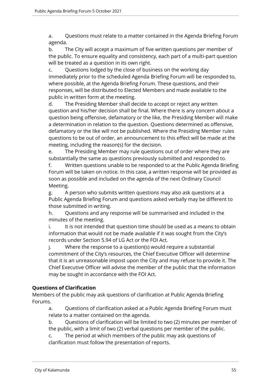a. Questions must relate to a matter contained in the Agenda Briefing Forum agenda.

b. The City will accept a maximum of five written questions per member of the public. To ensure equality and consistency, each part of a multi-part question will be treated as a question in its own right.

c. Questions lodged by the close of business on the working day immediately prior to the scheduled Agenda Briefing Forum will be responded to, where possible, at the Agenda Briefing Forum. These questions, and their responses, will be distributed to Elected Members and made available to the public in written form at the meeting.

d. The Presiding Member shall decide to accept or reject any written question and his/her decision shall be final. Where there is any concern about a question being offensive, defamatory or the like, the Presiding Member will make a determination in relation to the question. Questions determined as offensive, defamatory or the like will not be published. Where the Presiding Member rules questions to be out of order, an announcement to this effect will be made at the meeting, including the reason(s) for the decision.

e. The Presiding Member may rule questions out of order where they are substantially the same as questions previously submitted and responded to.

f. Written questions unable to be responded to at the Public Agenda Briefing Forum will be taken on notice. In this case, a written response will be provided as soon as possible and included on the agenda of the next Ordinary Council Meeting.

g. A person who submits written questions may also ask questions at a Public Agenda Briefing Forum and questions asked verbally may be different to those submitted in writing.

h. Questions and any response will be summarised and included in the minutes of the meeting.

i. It is not intended that question time should be used as a means to obtain information that would not be made available if it was sought from the City's records under Section 5.94 of LG Act or the FOI Act.

j. Where the response to a question(s) would require a substantial commitment of the City's resources, the Chief Executive Officer will determine that it is an unreasonable impost upon the City and may refuse to provide it. The Chief Executive Officer will advise the member of the public that the information may be sought in accordance with the FOI Act.

#### **Questions of Clarification**

Members of the public may ask questions of clarification at Public Agenda Briefing Forums.

a. Questions of clarification asked at a Public Agenda Briefing Forum must relate to a matter contained on the agenda.

b. Questions of clarification will be limited to two (2) minutes per member of the public, with a limit of two (2) verbal questions per member of the public.

c. The period at which members of the public may ask questions of clarification must follow the presentation of reports.